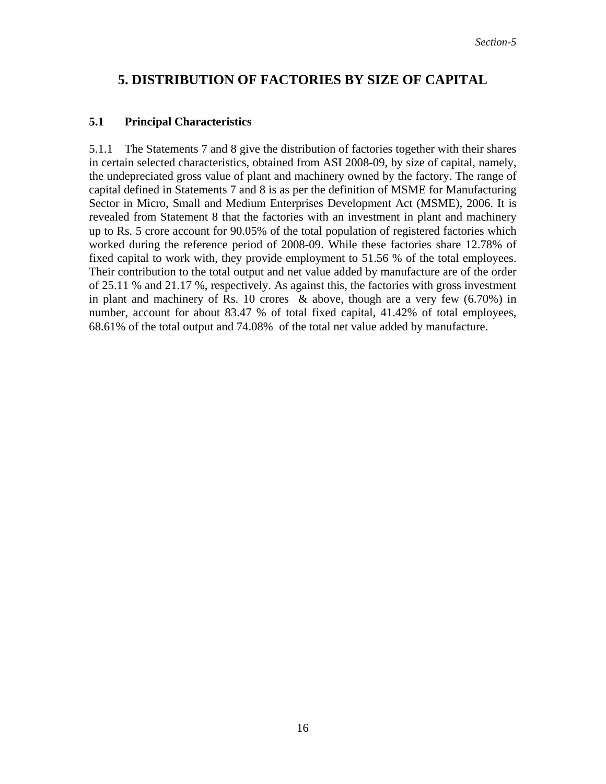## **5. DISTRIBUTION OF FACTORIES BY SIZE OF CAPITAL**

## **5.1 Principal Characteristics**

5.1.1 The Statements 7 and 8 give the distribution of factories together with their shares in certain selected characteristics, obtained from ASI 2008-09, by size of capital, namely, the undepreciated gross value of plant and machinery owned by the factory. The range of capital defined in Statements 7 and 8 is as per the definition of MSME for Manufacturing Sector in Micro, Small and Medium Enterprises Development Act (MSME), 2006. It is revealed from Statement 8 that the factories with an investment in plant and machinery up to Rs. 5 crore account for 90.05% of the total population of registered factories which worked during the reference period of 2008-09. While these factories share 12.78% of fixed capital to work with, they provide employment to 51.56 % of the total employees. Their contribution to the total output and net value added by manufacture are of the order of 25.11 % and 21.17 %, respectively. As against this, the factories with gross investment in plant and machinery of Rs. 10 crores & above, though are a very few (6.70%) in number, account for about 83.47 % of total fixed capital, 41.42% of total employees, 68.61% of the total output and 74.08% of the total net value added by manufacture.